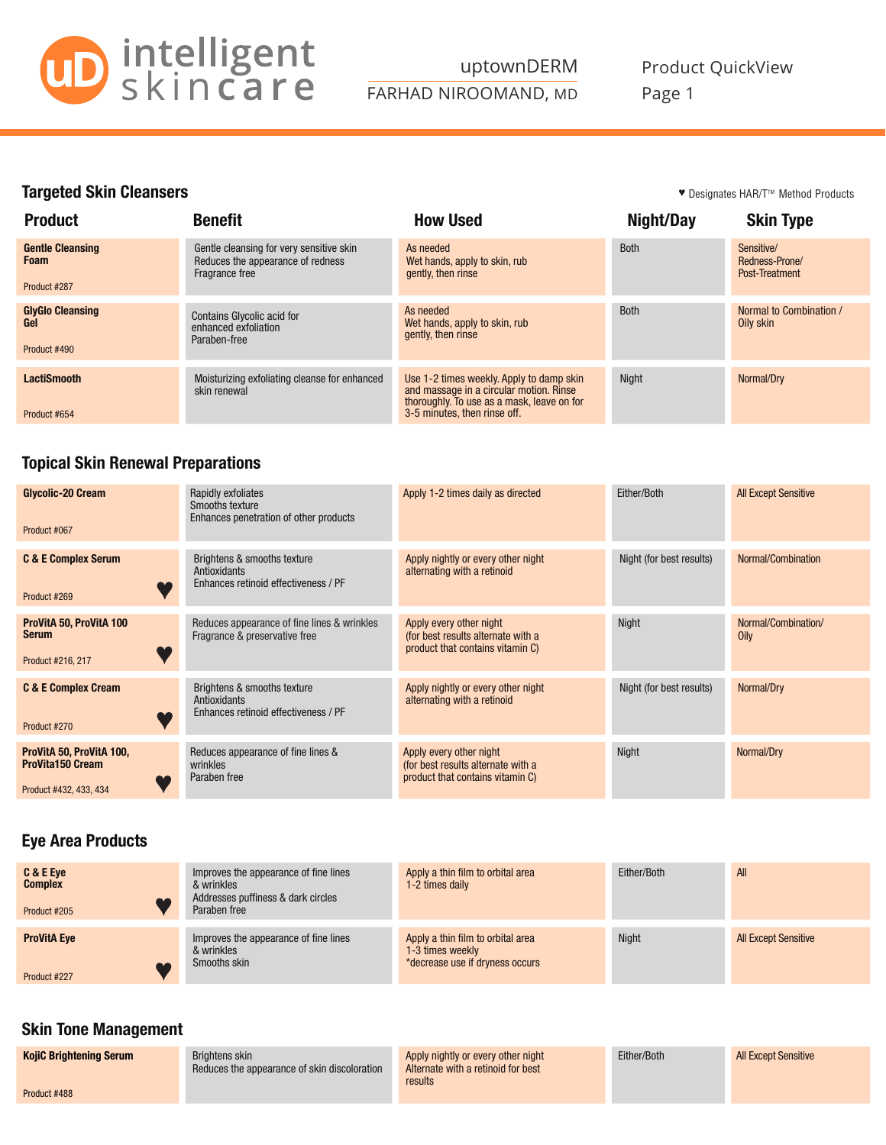

#### Targeted Skin Cleansers

♥ Designates HAR/T<sup>m</sup> Method Products

| <b>Product</b>                                         | <b>Benefit</b>                                                                                  | <b>How Used</b>                                                                                                                                                   | Night/Day   | <b>Skin Type</b>                               |
|--------------------------------------------------------|-------------------------------------------------------------------------------------------------|-------------------------------------------------------------------------------------------------------------------------------------------------------------------|-------------|------------------------------------------------|
| <b>Gentle Cleansing</b><br><b>Foam</b><br>Product #287 | Gentle cleansing for very sensitive skin<br>Reduces the appearance of redness<br>Fragrance free | As needed<br>Wet hands, apply to skin, rub<br>gently, then rinse                                                                                                  | <b>Both</b> | Sensitive/<br>Redness-Prone/<br>Post-Treatment |
| <b>GlyGlo Cleansing</b><br>Gel<br>Product #490         | <b>Contains Glycolic acid for</b><br>enhanced exfoliation<br>Paraben-free                       | As needed<br>Wet hands, apply to skin, rub<br>gently, then rinse                                                                                                  | <b>Both</b> | Normal to Combination /<br>Oily skin           |
| <b>LactiSmooth</b><br>Product #654                     | Moisturizing exfoliating cleanse for enhanced<br>skin renewal                                   | Use 1-2 times weekly. Apply to damp skin<br>and massage in a circular motion. Rinse<br>thoroughly. To use as a mask, leave on for<br>3-5 minutes, then rinse off. | Night       | Normal/Dry                                     |

#### Topical Skin Renewal Preparations

| Glycolic-20 Cream<br>Product #067                                             | Rapidly exfoliates<br>Smooths texture<br>Enhances penetration of other products     | Apply 1-2 times daily as directed                                                                 | Either/Both              | <b>All Except Sensitive</b> |
|-------------------------------------------------------------------------------|-------------------------------------------------------------------------------------|---------------------------------------------------------------------------------------------------|--------------------------|-----------------------------|
| <b>C &amp; E Complex Serum</b><br>Product #269                                | Brightens & smooths texture<br>Antioxidants<br>Enhances retinoid effectiveness / PF | Apply nightly or every other night<br>alternating with a retinoid                                 | Night (for best results) | Normal/Combination          |
| ProVitA 50, ProVitA 100<br><b>Serum</b><br>Product #216, 217                  | Reduces appearance of fine lines & wrinkles<br>Fragrance & preservative free        | Apply every other night<br>(for best results alternate with a<br>product that contains vitamin C) | Night                    | Normal/Combination/<br>Oily |
| <b>C &amp; E Complex Cream</b><br>Product #270                                | Brightens & smooths texture<br>Antioxidants<br>Enhances retinoid effectiveness / PF | Apply nightly or every other night<br>alternating with a retinoid                                 | Night (for best results) | Normal/Dry                  |
| ProVitA 50, ProVitA 100,<br><b>ProVita150 Cream</b><br>Product #432, 433, 434 | Reduces appearance of fine lines &<br>wrinkles<br>Paraben free                      | Apply every other night<br>(for best results alternate with a<br>product that contains vitamin C) | <b>Night</b>             | Normal/Dry                  |

### Eye Area Products

| C & E Eye<br><b>Complex</b><br>Product #205 | Improves the appearance of fine lines<br>& wrinkles<br>Addresses puffiness & dark circles<br>Paraben free | Apply a thin film to orbital area<br>1-2 times daily                                     | Either/Both  | All                         |
|---------------------------------------------|-----------------------------------------------------------------------------------------------------------|------------------------------------------------------------------------------------------|--------------|-----------------------------|
| <b>ProVitA Eye</b><br>Product #227          | Improves the appearance of fine lines<br>& wrinkles<br>Smooths skin                                       | Apply a thin film to orbital area<br>1-3 times weekly<br>*decrease use if dryness occurs | <b>Night</b> | <b>All Except Sensitive</b> |

# Skin Tone Management

| <b>KojiC Brightening Serum</b> | Brightens skin<br>Reduces the appearance of skin discoloration | Apply nightly or every other night<br>Alternate with a retinoid for best<br>results | Either/Both | <b>All Except Sensitive</b> |
|--------------------------------|----------------------------------------------------------------|-------------------------------------------------------------------------------------|-------------|-----------------------------|
| Product #488                   |                                                                |                                                                                     |             |                             |